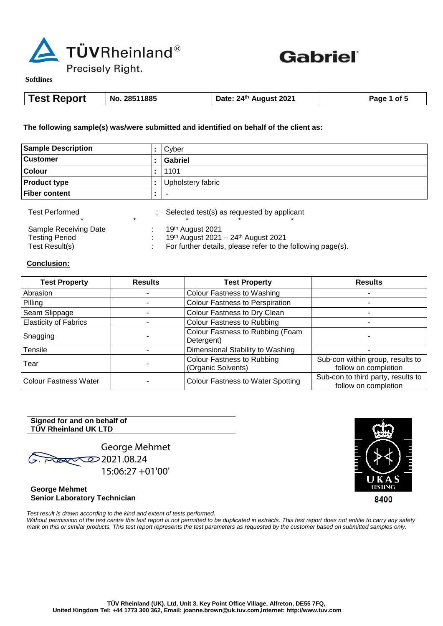



**Softlines** 

| <b>Test Report</b><br>No. 28511885 | Date: 24 <sup>th</sup> August 2021 | Page 1 of 5 |
|------------------------------------|------------------------------------|-------------|
|------------------------------------|------------------------------------|-------------|

**The following sample(s) was/were submitted and identified on behalf of the client as:**

| <b>Sample Description</b> | Cyber             |
|---------------------------|-------------------|
| <b>Customer</b>           | Gabriel           |
| <b>Colour</b>             | 1101              |
| <b>Product type</b>       | Upholstery fabric |
| <b>Fiber content</b>      |                   |
|                           |                   |

| <b>Test Performed</b> | Selected test(s) as requested by applicant                  |
|-----------------------|-------------------------------------------------------------|
|                       |                                                             |
| Sample Receiving Date | 19th August 2021                                            |
| Testina Period        | 19th August 2021 - 24th August 2021                         |
| Test Result(s)        | For further details, please refer to the following page(s). |

**Conclusion:**

| <b>Test Property</b>         | <b>Results</b> | <b>Test Property</b>                                    | <b>Results</b>                                             |
|------------------------------|----------------|---------------------------------------------------------|------------------------------------------------------------|
| Abrasion                     |                | Colour Fastness to Washing                              |                                                            |
| Pilling                      |                | <b>Colour Fastness to Perspiration</b>                  |                                                            |
| Seam Slippage                |                | Colour Fastness to Dry Clean                            |                                                            |
| <b>Elasticity of Fabrics</b> |                | <b>Colour Fastness to Rubbing</b>                       |                                                            |
| Snagging                     |                | Colour Fastness to Rubbing (Foam<br>Detergent)          |                                                            |
| Tensile                      |                | Dimensional Stability to Washing                        |                                                            |
| Tear                         |                | <b>Colour Fastness to Rubbing</b><br>(Organic Solvents) | Sub-con within group, results to<br>follow on completion   |
| <b>Colour Fastness Water</b> |                | <b>Colour Fastness to Water Spotting</b>                | Sub-con to third party, results to<br>follow on completion |

## **Signed for and on behalf of TÜV Rheinland UK LTD**

George Mehmet  $2021.08.24$ 15:06:27 +01'00'

**George Mehmet Senior Laboratory Technician**

8400

*Test result is drawn according to the kind and extent of tests performed.*  Without permission of the test centre this test report is not permitted to be duplicated in extracts. This test report does not entitle to carry any safety *mark on this or similar products. This test report represents the test parameters as requested by the customer based on submitted samples only.*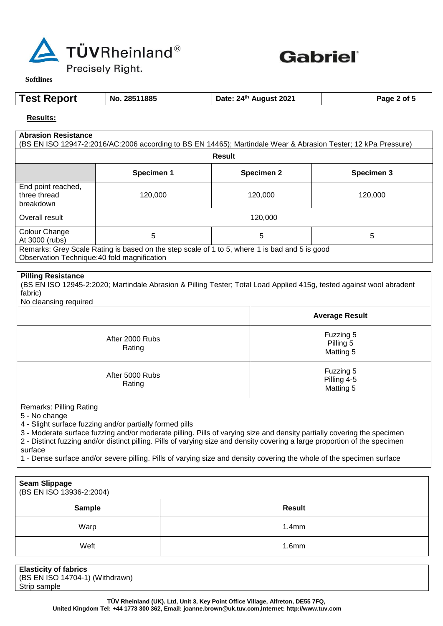



 $\overline{\phantom{a}}$ 

**Softlines** 

 $\mathsf{l}$ 

| <b>Test Report</b> | No. 28511885 | Date: 24 <sup>th</sup> August 2021 | Page 2 of 5 |
|--------------------|--------------|------------------------------------|-------------|
|--------------------|--------------|------------------------------------|-------------|

**Results:**

| <b>Abrasion Resistance</b>                                                                                                                                                       |            |  |                                     |                   | (BS EN ISO 12947-2:2016/AC:2006 according to BS EN 14465); Martindale Wear & Abrasion Tester; 12 kPa Pressure)                                                                                                                                                                                                                                                                  |
|----------------------------------------------------------------------------------------------------------------------------------------------------------------------------------|------------|--|-------------------------------------|-------------------|---------------------------------------------------------------------------------------------------------------------------------------------------------------------------------------------------------------------------------------------------------------------------------------------------------------------------------------------------------------------------------|
| <b>Result</b>                                                                                                                                                                    |            |  |                                     |                   |                                                                                                                                                                                                                                                                                                                                                                                 |
|                                                                                                                                                                                  | Specimen 1 |  |                                     | <b>Specimen 2</b> | Specimen 3                                                                                                                                                                                                                                                                                                                                                                      |
| End point reached,<br>three thread<br>breakdown                                                                                                                                  | 120,000    |  |                                     | 120,000           | 120,000                                                                                                                                                                                                                                                                                                                                                                         |
| Overall result                                                                                                                                                                   |            |  |                                     | 120,000           |                                                                                                                                                                                                                                                                                                                                                                                 |
| Colour Change<br>At 3000 (rubs)<br>Remarks: Grey Scale Rating is based on the step scale of 1 to 5, where 1 is bad and 5 is good<br>Observation Technique: 40 fold magnification | 5          |  |                                     | $\sqrt{5}$        | 5                                                                                                                                                                                                                                                                                                                                                                               |
| fabric)<br>No cleansing required                                                                                                                                                 |            |  |                                     |                   | (BS EN ISO 12945-2:2020; Martindale Abrasion & Pilling Tester; Total Load Applied 415g, tested against wool abradent<br><b>Average Result</b>                                                                                                                                                                                                                                   |
| After 2000 Rubs<br>Rating                                                                                                                                                        |            |  | Fuzzing 5<br>Pilling 5<br>Matting 5 |                   |                                                                                                                                                                                                                                                                                                                                                                                 |
| Fuzzing 5<br>After 5000 Rubs<br>Pilling 4-5<br>Rating<br>Matting 5                                                                                                               |            |  |                                     |                   |                                                                                                                                                                                                                                                                                                                                                                                 |
| <b>Remarks: Pilling Rating</b><br>5 - No change<br>4 - Slight surface fuzzing and/or partially formed pills<br>surface                                                           |            |  |                                     |                   | 3 - Moderate surface fuzzing and/or moderate pilling. Pills of varying size and density partially covering the specimen<br>2 - Distinct fuzzing and/or distinct pilling. Pills of varying size and density covering a large proportion of the specimen<br>1 - Dense surface and/or severe pilling. Pills of varying size and density covering the whole of the specimen surface |
| <b>Seam Slippage</b><br>(BS EN ISO 13936-2:2004)                                                                                                                                 |            |  |                                     |                   |                                                                                                                                                                                                                                                                                                                                                                                 |
| <b>Sample</b>                                                                                                                                                                    |            |  |                                     | <b>Result</b>     |                                                                                                                                                                                                                                                                                                                                                                                 |
| Warp                                                                                                                                                                             |            |  |                                     | 1.4mm             |                                                                                                                                                                                                                                                                                                                                                                                 |
|                                                                                                                                                                                  |            |  |                                     |                   |                                                                                                                                                                                                                                                                                                                                                                                 |

| <b>Elasticity of fabrics</b>    |
|---------------------------------|
| (BS EN ISO 14704-1) (Withdrawn) |
| Strip sample                    |
|                                 |

Weft 1.6mm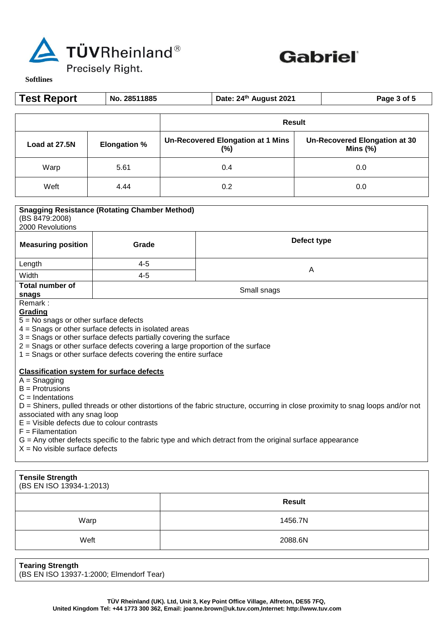



 $\exists$ 

**Softlines** 

| <b>Test Report</b>                                                                                                                              | No. 28511885                                                                                                                                                                                                                                                                                                                                                                                                                                                                                                                                                                                                                                                                                                                                         |             | Date: 24th August 2021                             |  | Page 3 of 5                                         |
|-------------------------------------------------------------------------------------------------------------------------------------------------|------------------------------------------------------------------------------------------------------------------------------------------------------------------------------------------------------------------------------------------------------------------------------------------------------------------------------------------------------------------------------------------------------------------------------------------------------------------------------------------------------------------------------------------------------------------------------------------------------------------------------------------------------------------------------------------------------------------------------------------------------|-------------|----------------------------------------------------|--|-----------------------------------------------------|
|                                                                                                                                                 |                                                                                                                                                                                                                                                                                                                                                                                                                                                                                                                                                                                                                                                                                                                                                      |             | <b>Result</b>                                      |  |                                                     |
| Load at 27.5N                                                                                                                                   | <b>Elongation %</b>                                                                                                                                                                                                                                                                                                                                                                                                                                                                                                                                                                                                                                                                                                                                  |             | <b>Un-Recovered Elongation at 1 Mins</b><br>$(\%)$ |  | <b>Un-Recovered Elongation at 30</b><br>Mins $(\%)$ |
| Warp                                                                                                                                            | 5.61                                                                                                                                                                                                                                                                                                                                                                                                                                                                                                                                                                                                                                                                                                                                                 |             | 0.4                                                |  | 0.0                                                 |
| Weft                                                                                                                                            | 4.44                                                                                                                                                                                                                                                                                                                                                                                                                                                                                                                                                                                                                                                                                                                                                 |             | 0.2                                                |  | 0.0                                                 |
| <b>Snagging Resistance (Rotating Chamber Method)</b><br>(BS 8479:2008)<br>2000 Revolutions<br>Defect type<br><b>Measuring position</b><br>Grade |                                                                                                                                                                                                                                                                                                                                                                                                                                                                                                                                                                                                                                                                                                                                                      |             |                                                    |  |                                                     |
| Length                                                                                                                                          | $4 - 5$                                                                                                                                                                                                                                                                                                                                                                                                                                                                                                                                                                                                                                                                                                                                              | A           |                                                    |  |                                                     |
| Width<br><b>Total number of</b>                                                                                                                 | $4 - 5$                                                                                                                                                                                                                                                                                                                                                                                                                                                                                                                                                                                                                                                                                                                                              |             |                                                    |  |                                                     |
| snags<br>Remark:                                                                                                                                |                                                                                                                                                                                                                                                                                                                                                                                                                                                                                                                                                                                                                                                                                                                                                      | Small snags |                                                    |  |                                                     |
| Grading<br>$A =$ Snagging<br>$B =$ Protrusions<br>$C = Indentations$<br>$F = Filamentation$                                                     | $5 = No$ snags or other surface defects<br>4 = Snags or other surface defects in isolated areas<br>3 = Snags or other surface defects partially covering the surface<br>$2$ = Snags or other surface defects covering a large proportion of the surface<br>$1 =$ Snags or other surface defects covering the entire surface<br><b>Classification system for surface defects</b><br>D = Shiners, pulled threads or other distortions of the fabric structure, occurring in close proximity to snag loops and/or not<br>associated with any snag loop<br>$E =$ Visible defects due to colour contrasts<br>G = Any other defects specific to the fabric type and which detract from the original surface appearance<br>$X = No$ visible surface defects |             |                                                    |  |                                                     |
|                                                                                                                                                 |                                                                                                                                                                                                                                                                                                                                                                                                                                                                                                                                                                                                                                                                                                                                                      |             |                                                    |  |                                                     |
| <b>Tensile Strength</b><br>(BS EN ISO 13934-1:2013)                                                                                             |                                                                                                                                                                                                                                                                                                                                                                                                                                                                                                                                                                                                                                                                                                                                                      |             |                                                    |  |                                                     |

|      | <b>Result</b> |
|------|---------------|
| Warp | 1456.7N       |
| Weft | 2088.6N       |

**Tearing Strength** (BS EN ISO 13937-1:2000; Elmendorf Tear)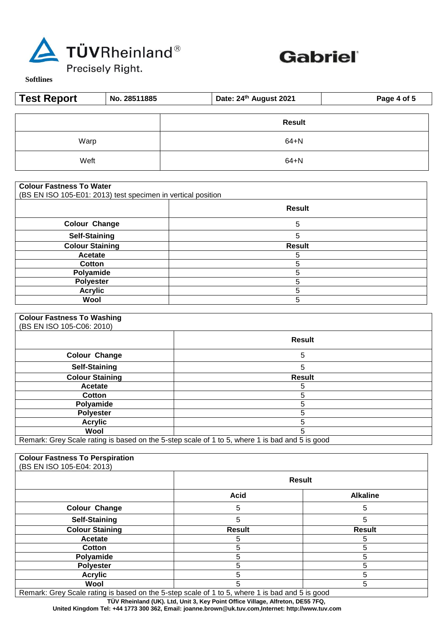



**Softlines** 

| <b>Test Report</b> | No. 28511885 | Date: 24th August 2021 | Page 4 of 5 |
|--------------------|--------------|------------------------|-------------|
|                    |              | <b>Result</b>          |             |
| Warp               |              | $64 + N$               |             |
| Weft               |              | $64 + N$               |             |

|  | <b>Colour Fastness To Water</b> |  |  |
|--|---------------------------------|--|--|
|--|---------------------------------|--|--|

(BS EN ISO 105-E01: 2013) test specimen in vertical position

|                        | <b>Result</b> |
|------------------------|---------------|
| <b>Colour Change</b>   | 5             |
| <b>Self-Staining</b>   | 5             |
| <b>Colour Staining</b> | <b>Result</b> |
| Acetate                | э             |
| Cotton                 |               |
| Polyamide              |               |
| Polyester              |               |
| <b>Acrylic</b>         |               |
| Wool                   | n             |

## **Colour Fastness To Washing**

| (BS EN ISO 105-C06: 2010)                                                                      |               |
|------------------------------------------------------------------------------------------------|---------------|
|                                                                                                | <b>Result</b> |
| <b>Colour Change</b>                                                                           | 5             |
| <b>Self-Staining</b>                                                                           | 5             |
| <b>Colour Staining</b>                                                                         | <b>Result</b> |
| Acetate                                                                                        | 5             |
| Cotton                                                                                         | 5             |
| Polyamide                                                                                      | 5             |
| <b>Polyester</b>                                                                               | 5             |
| <b>Acrylic</b>                                                                                 | 5             |
| Wool                                                                                           | 5             |
| Remark: Grey Scale rating is based on the 5-step scale of 1 to 5, where 1 is bad and 5 is good |               |

| <b>Colour Fastness To Perspiration</b><br>(BS EN ISO 105-E04: 2013) |               |                 |
|---------------------------------------------------------------------|---------------|-----------------|
|                                                                     | <b>Result</b> |                 |
|                                                                     | <b>Acid</b>   | <b>Alkaline</b> |
| <b>Colour Change</b>                                                | 5             | 5               |
| <b>Self-Staining</b>                                                | 5             | 5               |
| <b>Colour Staining</b>                                              | <b>Result</b> | <b>Result</b>   |
| Acetate                                                             | 5             | 5               |
| <b>Cotton</b>                                                       | 5             | 5               |
| Polyamide                                                           | 5             | 5               |
| <b>Polyester</b>                                                    | 5             | 5               |
| <b>Acrylic</b>                                                      | 5             | 5               |
| Wool                                                                | 5             | 5               |

Remark: Grey Scale rating is based on the 5-step scale of 1 to 5, where 1 is bad and 5 is good

 **TÜV Rheinland (UK). Ltd, Unit 3, Key Point Office Village, Alfreton, DE55 7FQ,** 

 **United Kingdom Tel: +44 1773 300 362, Email: joanne.brown@uk.tuv.com,Internet: http://www.tuv.com**